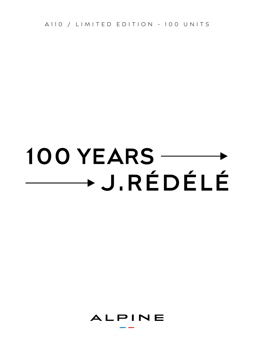A110 / LIMITED EDITION - 100 UNITS

# 100 YEARS -→ J.RÉDÉLÉ

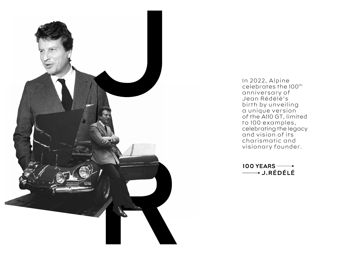

In 2022, Alpine celebrates the 100<sup>th</sup> anniversary of Jean Rédélé's birth by unveiling a unique version of the A110 GT, limited to 100 examples, celebrating the legacy and vision of its charismatic and visionary founder.

100 YEARS -- $\longrightarrow$  J.RÉDÉLÉ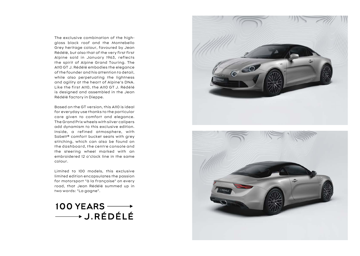The exclusive combination of the highgloss black roof and the Montebello Grey heritage colour, favoured by Jean Rédélé, but also that of the very first first Alpine sold in January 1963, reflects the spirit of Alpine Grand Touring. The A110 GT J. Rédélé embodies the elegance of the founder and his attention to detail, while also perpetuating the lightness and agility at the heart of Alpine's DNA. Like the first A110, the A110 GT J. Rédélé is designed and assembled in the Jean Rédélé factory in Dieppe.

Based on the GT version, this A110 is ideal for everyday use thanks to the particular care given to comfort and elegance. The Grand Prix wheels with silver calipers add dynamism to this exclusive edition. Inside, a refined atmosphere, with Sabelt® comfort bucket seats with grey stitching, which can also be found on the dashboard, the centre console and the steering wheel marked with an embroidered 12 o'clock line in the same colour.

Limited to 100 models, this exclusive limited edition encapsulates the passion for motorsport "à la française" on every road, that Jean Rédélé summed up in two words: "La gagne".





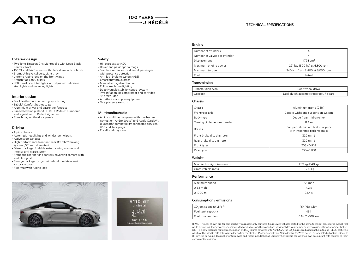## **A110**

## 100 YEARS  $\longrightarrow$  $\longrightarrow$  J.RÉDÉLÉ

#### TECHNICAL SPECIFICATIONS

#### Exterior design

- Two-Tone Tintcoat: Gris Montebello with Deep Black Contrast Roof
- 18" "Grand Prix" wheels with black diamond cut finish
- Brembo® brake calipers: Light grey
- Chrome Alpine logo on the front wings
- French flags on C-pillars
- LED transluscent tail lights with dynamic indicators stop lights and reversing lights

#### Interior design

- Black leather interior with gray stitching
- Sabelt® Comfort bucket seats
- Aluminium driver and passenger footrest
- Limited edition plate "A110 GT J. Rédélé" numbered and signed with J.Rédélé signature
- French flag on the door panels

### Driving

- Alpine chassis
- Automatic headlights and windscreen wipers
- Active sport exhaust
- High-performance front and rear Brembo® braking system (320 mm diameter)
- Mirror package: foldable exterior wing mirrors and interior anti-glare system
- Front and rear parking sensors, reversing camera with audible signal
- Storage package: cargo net behind the driver seat
- + storage case • Floormat with Alpine logo
- 



## Safety

- Hill-start assist (HSA)
- Driver and passenger airbags
- Seat belt reminder for driver & passenger
- with presence detection
- Anti-lock braking system (ABS)
- Emergency brake assist
- Manual airbag disactivation • Follow me home lighting
- Deactivatable stability control system
- Tyre inflation kit: compressor and cartridge
- 3rd brake light
- Anti-theft alarm pre-equipment
- Tyre pressure sensors

#### Multimedia/Audio

• Alpine multimedia system with touchscreen: navigation, AndroidAuto™ and Apple Carplay™, Bluetooth® compatibility, connected services, USB and Jack plugs • Focal® audio system

> **A110 GT J.RÉDÉLÉ**

001/100 **FABRIQUÉ À DIEPPE, FRANCE** 

| Rear tyres                 | 235/40 R       |
|----------------------------|----------------|
| Weight                     |                |
| Min. Kerb weight (min-max) | 1,119 kg-1,140 |
| Gross vehicle mass         | 1,360 kg       |

| Maximum speed | 155 mph |
|---------------|---------|
| $0-62$ mph    |         |
| $10-1000$ m   | 22.4 s  |

1,119 kg-1,140 kg

#### Consumption / emissions

| ' CO., emissions (WLTP) (1) | 154-160 g/km     |
|-----------------------------|------------------|
| Fuel tank capacity          | 45               |
| Fuel consumption            | 6.8 - 7 I/100 km |

(1) WLTP figures shown are for comparability purposes; only compare figures with vehicles tested to the same technical procedures. Actual real world driving results may vary depending on factors such as weather conditions, driving styles, vehicle load or any accessories fitted after registration. WLTP is a new test used for fuel consumption and CO<sub>2</sub> figures however until April 2020 the CO<sub>2</sub> figures are based on the outgoing (NEDC) test cycle which will be used to calculate vehicle tax on first registration. Please contact your Alpine Centre for WLTP figures for any selected options. Renault UK Limited t/a Alpine does not offer tax advice and recommends that all Company Car Drivers consult their own accountant with regards to their particular tax position

#### Engine

| Number of cylinders           | 4                              |
|-------------------------------|--------------------------------|
| Number of valves per cylinder |                                |
| Displacement                  | 1.798 cm <sup>3</sup>          |
| Maximum engine power          | 221 kW (300 hp) at 6,300 rpm   |
| Maximum torque                | 340 Nm from 2,400 at 6,000 rpm |
| Fuel                          | Petrol                         |

#### Transmission

| Transmission type | Rear-wheel drive                       |
|-------------------|----------------------------------------|
|                   | Dual clutch automatic gearbox, 7 gears |

#### Chassis

| Chassis                      | Aluminium frame (96%)                                             |
|------------------------------|-------------------------------------------------------------------|
| Front/rear axle              | Double-wishbone suspension system                                 |
| Body type                    | Coupe (rear mid-engine)                                           |
| Turning circle between kerbs | 11.4 m                                                            |
| <b>Brakes</b>                | Compact aluminium brake calipers<br>with integrated parking brake |
| Front brake disc diameter    | 320 (mm)                                                          |
| Rear brake disc diameter     | 320 (mm)                                                          |
| Front tyres                  | 205/40 R18                                                        |
| Rear tyres                   | 235/40 R18                                                        |
|                              |                                                                   |

| nour cyros |  |
|------------|--|
|            |  |
|            |  |
| Weight     |  |
|            |  |
|            |  |

| Rear tyres |  |
|------------|--|
| Weight     |  |